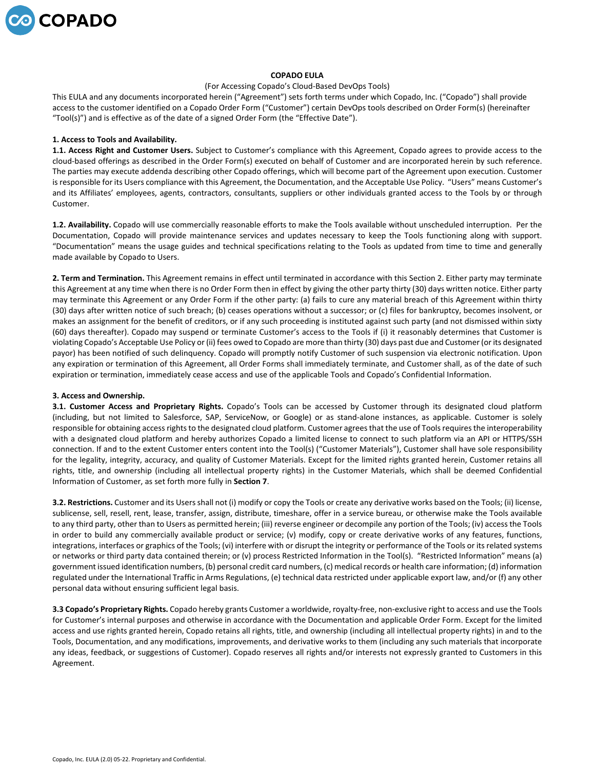

# **COPADO EULA**

#### (For Accessing Copado's Cloud-Based DevOps Tools)

This EULA and any documents incorporated herein ("Agreement") sets forth terms under which Copado, Inc. ("Copado") shall provide access to the customer identified on a Copado Order Form ("Customer") certain DevOps tools described on Order Form(s) (hereinafter "Tool(s)") and is effective as of the date of a signed Order Form (the "Effective Date").

#### **1. Access to Tools and Availability.**

**1.1. Access Right and Customer Users.** Subject to Customer's compliance with this Agreement, Copado agrees to provide access to the cloud-based offerings as described in the Order Form(s) executed on behalf of Customer and are incorporated herein by such reference. The parties may execute addenda describing other Copado offerings, which will become part of the Agreement upon execution. Customer is responsible for its Users compliance with this Agreement, the Documentation, and the Acceptable Use Policy. "Users" means Customer's and its Affiliates' employees, agents, contractors, consultants, suppliers or other individuals granted access to the Tools by or through Customer.

**1.2. Availability.** Copado will use commercially reasonable efforts to make the Tools available without unscheduled interruption. Per the Documentation, Copado will provide maintenance services and updates necessary to keep the Tools functioning along with support. "Documentation" means the usage guides and technical specifications relating to the Tools as updated from time to time and generally made available by Copado to Users.

**2. Term and Termination.** This Agreement remains in effect until terminated in accordance with this Section 2. Either party may terminate this Agreement at any time when there is no Order Form then in effect by giving the other party thirty (30) days written notice. Either party may terminate this Agreement or any Order Form if the other party: (a) fails to cure any material breach of this Agreement within thirty (30) days after written notice of such breach; (b) ceases operations without a successor; or (c) files for bankruptcy, becomes insolvent, or makes an assignment for the benefit of creditors, or if any such proceeding is instituted against such party (and not dismissed within sixty (60) days thereafter). Copado may suspend or terminate Customer's access to the Tools if (i) it reasonably determines that Customer is violating Copado's Acceptable Use Policy or (ii) fees owed to Copado are more than thirty (30) days past due and Customer (or its designated payor) has been notified of such delinquency. Copado will promptly notify Customer of such suspension via electronic notification. Upon any expiration or termination of this Agreement, all Order Forms shall immediately terminate, and Customer shall, as of the date of such expiration or termination, immediately cease access and use of the applicable Tools and Copado's Confidential Information.

## **3. Access and Ownership.**

**3.1. Customer Access and Proprietary Rights.** Copado's Tools can be accessed by Customer through its designated cloud platform (including, but not limited to Salesforce, SAP, ServiceNow, or Google) or as stand-alone instances, as applicable. Customer is solely responsible for obtaining access rights to the designated cloud platform. Customer agrees that the use of Tools requires the interoperability with a designated cloud platform and hereby authorizes Copado a limited license to connect to such platform via an API or HTTPS/SSH connection. If and to the extent Customer enters content into the Tool(s) ("Customer Materials"), Customer shall have sole responsibility for the legality, integrity, accuracy, and quality of Customer Materials. Except for the limited rights granted herein, Customer retains all rights, title, and ownership (including all intellectual property rights) in the Customer Materials, which shall be deemed Confidential Information of Customer, as set forth more fully in **Section 7**.

**3.2. Restrictions.** Customer and its Users shall not (i) modify or copy the Tools or create any derivative works based on the Tools; (ii) license, sublicense, sell, resell, rent, lease, transfer, assign, distribute, timeshare, offer in a service bureau, or otherwise make the Tools available to any third party, other than to Users as permitted herein; (iii) reverse engineer or decompile any portion of the Tools; (iv) access the Tools in order to build any commercially available product or service; (v) modify, copy or create derivative works of any features, functions, integrations, interfaces or graphics of the Tools; (vi) interfere with or disrupt the integrity or performance of the Tools or its related systems or networks or third party data contained therein; or (v) process Restricted Information in the Tool(s). "Restricted Information" means (a) government issued identification numbers, (b) personal credit card numbers, (c) medical records or health care information; (d) information regulated under the International Traffic in Arms Regulations, (e) technical data restricted under applicable export law, and/or (f) any other personal data without ensuring sufficient legal basis.

**3.3 Copado's Proprietary Rights.** Copado hereby grants Customer a worldwide, royalty-free, non-exclusive right to access and use the Tools for Customer's internal purposes and otherwise in accordance with the Documentation and applicable Order Form. Except for the limited access and use rights granted herein, Copado retains all rights, title, and ownership (including all intellectual property rights) in and to the Tools, Documentation, and any modifications, improvements, and derivative works to them (including any such materials that incorporate any ideas, feedback, or suggestions of Customer). Copado reserves all rights and/or interests not expressly granted to Customers in this Agreement.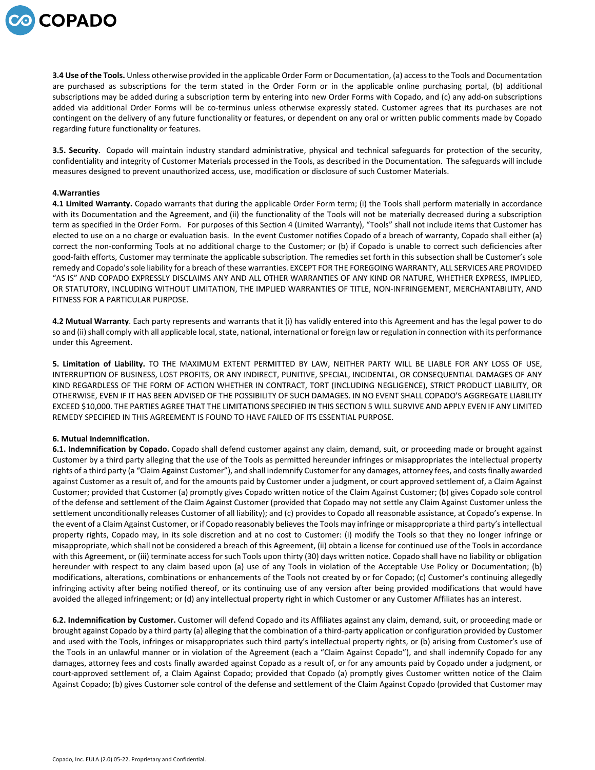

**3.4 Use of the Tools.** Unless otherwise provided in the applicable Order Form or Documentation, (a) access to the Tools and Documentation are purchased as subscriptions for the term stated in the Order Form or in the applicable online purchasing portal, (b) additional subscriptions may be added during a subscription term by entering into new Order Forms with Copado, and (c) any add-on subscriptions added via additional Order Forms will be co-terminus unless otherwise expressly stated. Customer agrees that its purchases are not contingent on the delivery of any future functionality or features, or dependent on any oral or written public comments made by Copado regarding future functionality or features.

**3.5. Security**. Copado will maintain industry standard administrative, physical and technical safeguards for protection of the security, confidentiality and integrity of Customer Materials processed in the Tools, as described in the Documentation. The safeguards will include measures designed to prevent unauthorized access, use, modification or disclosure of such Customer Materials.

## **4.Warranties**

**4.1 Limited Warranty.** Copado warrants that during the applicable Order Form term; (i) the Tools shall perform materially in accordance with its Documentation and the Agreement, and (ii) the functionality of the Tools will not be materially decreased during a subscription term as specified in the Order Form. For purposes of this Section 4 (Limited Warranty), "Tools" shall not include items that Customer has elected to use on a no charge or evaluation basis. In the event Customer notifies Copado of a breach of warranty, Copado shall either (a) correct the non-conforming Tools at no additional charge to the Customer; or (b) if Copado is unable to correct such deficiencies after good-faith efforts, Customer may terminate the applicable subscription. The remedies set forth in this subsection shall be Customer's sole remedy and Copado's sole liability for a breach of these warranties. EXCEPT FOR THE FOREGOING WARRANTY, ALL SERVICES ARE PROVIDED "AS IS" AND COPADO EXPRESSLY DISCLAIMS ANY AND ALL OTHER WARRANTIES OF ANY KIND OR NATURE, WHETHER EXPRESS, IMPLIED, OR STATUTORY, INCLUDING WITHOUT LIMITATION, THE IMPLIED WARRANTIES OF TITLE, NON-INFRINGEMENT, MERCHANTABILITY, AND FITNESS FOR A PARTICULAR PURPOSE.

**4.2 Mutual Warranty**. Each party represents and warrants that it (i) has validly entered into this Agreement and has the legal power to do so and (ii) shall comply with all applicable local, state, national, international or foreign law or regulation in connection with its performance under this Agreement.

**5. Limitation of Liability.** TO THE MAXIMUM EXTENT PERMITTED BY LAW, NEITHER PARTY WILL BE LIABLE FOR ANY LOSS OF USE, INTERRUPTION OF BUSINESS, LOST PROFITS, OR ANY INDIRECT, PUNITIVE, SPECIAL, INCIDENTAL, OR CONSEQUENTIAL DAMAGES OF ANY KIND REGARDLESS OF THE FORM OF ACTION WHETHER IN CONTRACT, TORT (INCLUDING NEGLIGENCE), STRICT PRODUCT LIABILITY, OR OTHERWISE, EVEN IF IT HAS BEEN ADVISED OF THE POSSIBILITY OF SUCH DAMAGES. IN NO EVENT SHALL COPADO'S AGGREGATE LIABILITY EXCEED \$10,000. THE PARTIES AGREE THAT THE LIMITATIONS SPECIFIED IN THIS SECTION 5 WILL SURVIVE AND APPLY EVEN IF ANY LIMITED REMEDY SPECIFIED IN THIS AGREEMENT IS FOUND TO HAVE FAILED OF ITS ESSENTIAL PURPOSE.

## **6. Mutual Indemnification.**

**6.1. Indemnification by Copado.** Copado shall defend customer against any claim, demand, suit, or proceeding made or brought against Customer by a third party alleging that the use of the Tools as permitted hereunder infringes or misappropriates the intellectual property rights of a third party (a "Claim Against Customer"), and shall indemnify Customer for any damages, attorney fees, and costs finally awarded against Customer as a result of, and for the amounts paid by Customer under a judgment, or court approved settlement of, a Claim Against Customer; provided that Customer (a) promptly gives Copado written notice of the Claim Against Customer; (b) gives Copado sole control of the defense and settlement of the Claim Against Customer (provided that Copado may not settle any Claim Against Customer unless the settlement unconditionally releases Customer of all liability); and (c) provides to Copado all reasonable assistance, at Copado's expense. In the event of a Claim Against Customer, or if Copado reasonably believes the Tools may infringe or misappropriate a third party's intellectual property rights, Copado may, in its sole discretion and at no cost to Customer: (i) modify the Tools so that they no longer infringe or misappropriate, which shall not be considered a breach of this Agreement, (ii) obtain a license for continued use of the Tools in accordance with this Agreement, or (iii) terminate access for such Tools upon thirty (30) days written notice. Copado shall have no liability or obligation hereunder with respect to any claim based upon (a) use of any Tools in violation of the Acceptable Use Policy or Documentation; (b) modifications, alterations, combinations or enhancements of the Tools not created by or for Copado; (c) Customer's continuing allegedly infringing activity after being notified thereof, or its continuing use of any version after being provided modifications that would have avoided the alleged infringement; or (d) any intellectual property right in which Customer or any Customer Affiliates has an interest.

**6.2. Indemnification by Customer.** Customer will defend Copado and its Affiliates against any claim, demand, suit, or proceeding made or brought against Copado by a third party (a) alleging that the combination of a third-party application or configuration provided by Customer and used with the Tools, infringes or misappropriates such third party's intellectual property rights, or (b) arising from Customer's use of the Tools in an unlawful manner or in violation of the Agreement (each a "Claim Against Copado"), and shall indemnify Copado for any damages, attorney fees and costs finally awarded against Copado as a result of, or for any amounts paid by Copado under a judgment, or court-approved settlement of, a Claim Against Copado; provided that Copado (a) promptly gives Customer written notice of the Claim Against Copado; (b) gives Customer sole control of the defense and settlement of the Claim Against Copado (provided that Customer may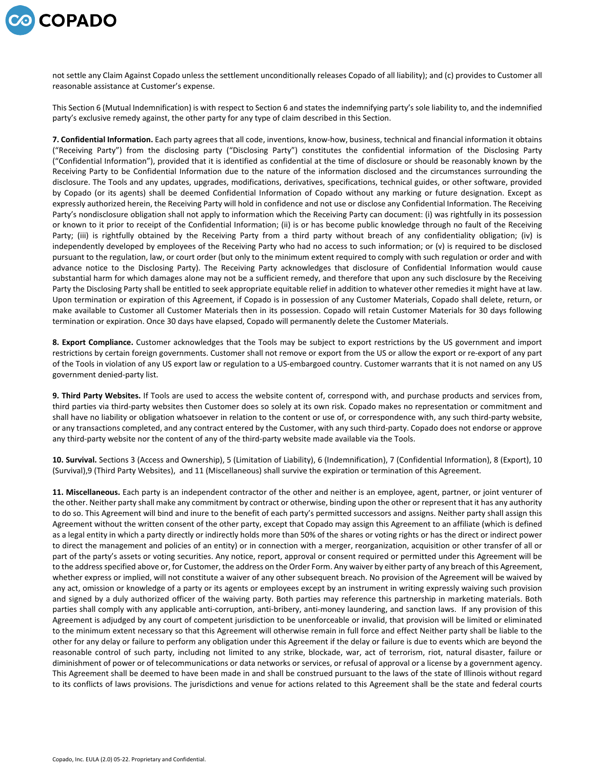

not settle any Claim Against Copado unless the settlement unconditionally releases Copado of all liability); and (c) provides to Customer all reasonable assistance at Customer's expense.

This Section 6 (Mutual Indemnification) is with respect to Section 6 and states the indemnifying party's sole liability to, and the indemnified party's exclusive remedy against, the other party for any type of claim described in this Section.

**7. Confidential Information.** Each party agrees that all code, inventions, know-how, business, technical and financial information it obtains ("Receiving Party") from the disclosing party ("Disclosing Party") constitutes the confidential information of the Disclosing Party ("Confidential Information"), provided that it is identified as confidential at the time of disclosure or should be reasonably known by the Receiving Party to be Confidential Information due to the nature of the information disclosed and the circumstances surrounding the disclosure. The Tools and any updates, upgrades, modifications, derivatives, specifications, technical guides, or other software, provided by Copado (or its agents) shall be deemed Confidential Information of Copado without any marking or future designation. Except as expressly authorized herein, the Receiving Party will hold in confidence and not use or disclose any Confidential Information. The Receiving Party's nondisclosure obligation shall not apply to information which the Receiving Party can document: (i) was rightfully in its possession or known to it prior to receipt of the Confidential Information; (ii) is or has become public knowledge through no fault of the Receiving Party; (iii) is rightfully obtained by the Receiving Party from a third party without breach of any confidentiality obligation; (iv) is independently developed by employees of the Receiving Party who had no access to such information; or (v) is required to be disclosed pursuant to the regulation, law, or court order (but only to the minimum extent required to comply with such regulation or order and with advance notice to the Disclosing Party). The Receiving Party acknowledges that disclosure of Confidential Information would cause substantial harm for which damages alone may not be a sufficient remedy, and therefore that upon any such disclosure by the Receiving Party the Disclosing Party shall be entitled to seek appropriate equitable relief in addition to whatever other remedies it might have at law. Upon termination or expiration of this Agreement, if Copado is in possession of any Customer Materials, Copado shall delete, return, or make available to Customer all Customer Materials then in its possession. Copado will retain Customer Materials for 30 days following termination or expiration. Once 30 days have elapsed, Copado will permanently delete the Customer Materials.

**8. Export Compliance.** Customer acknowledges that the Tools may be subject to export restrictions by the US government and import restrictions by certain foreign governments. Customer shall not remove or export from the US or allow the export or re-export of any part of the Tools in violation of any US export law or regulation to a US-embargoed country. Customer warrants that it is not named on any US government denied-party list.

**9. Third Party Websites.** If Tools are used to access the website content of, correspond with, and purchase products and services from, third parties via third-party websites then Customer does so solely at its own risk. Copado makes no representation or commitment and shall have no liability or obligation whatsoever in relation to the content or use of, or correspondence with, any such third-party website, or any transactions completed, and any contract entered by the Customer, with any such third-party. Copado does not endorse or approve any third-party website nor the content of any of the third-party website made available via the Tools.

**10. Survival.** Sections 3 (Access and Ownership), 5 (Limitation of Liability), 6 (Indemnification), 7 (Confidential Information), 8 (Export), 10 (Survival),9 (Third Party Websites), and 11 (Miscellaneous) shall survive the expiration or termination of this Agreement.

**11. Miscellaneous.** Each party is an independent contractor of the other and neither is an employee, agent, partner, or joint venturer of the other. Neither party shall make any commitment by contract or otherwise, binding upon the other or represent that it has any authority to do so. This Agreement will bind and inure to the benefit of each party's permitted successors and assigns. Neither party shall assign this Agreement without the written consent of the other party, except that Copado may assign this Agreement to an affiliate (which is defined as a legal entity in which a party directly or indirectly holds more than 50% of the shares or voting rights or has the direct or indirect power to direct the management and policies of an entity) or in connection with a merger, reorganization, acquisition or other transfer of all or part of the party's assets or voting securities. Any notice, report, approval or consent required or permitted under this Agreement will be to the address specified above or, for Customer, the address on the Order Form. Any waiver by either party of any breach of this Agreement, whether express or implied, will not constitute a waiver of any other subsequent breach. No provision of the Agreement will be waived by any act, omission or knowledge of a party or its agents or employees except by an instrument in writing expressly waiving such provision and signed by a duly authorized officer of the waiving party. Both parties may reference this partnership in marketing materials. Both parties shall comply with any applicable anti-corruption, anti-bribery, anti-money laundering, and sanction laws. If any provision of this Agreement is adjudged by any court of competent jurisdiction to be unenforceable or invalid, that provision will be limited or eliminated to the minimum extent necessary so that this Agreement will otherwise remain in full force and effect Neither party shall be liable to the other for any delay or failure to perform any obligation under this Agreement if the delay or failure is due to events which are beyond the reasonable control of such party, including not limited to any strike, blockade, war, act of terrorism, riot, natural disaster, failure or diminishment of power or of telecommunications or data networks or services, or refusal of approval or a license by a government agency. This Agreement shall be deemed to have been made in and shall be construed pursuant to the laws of the state of Illinois without regard to its conflicts of laws provisions. The jurisdictions and venue for actions related to this Agreement shall be the state and federal courts